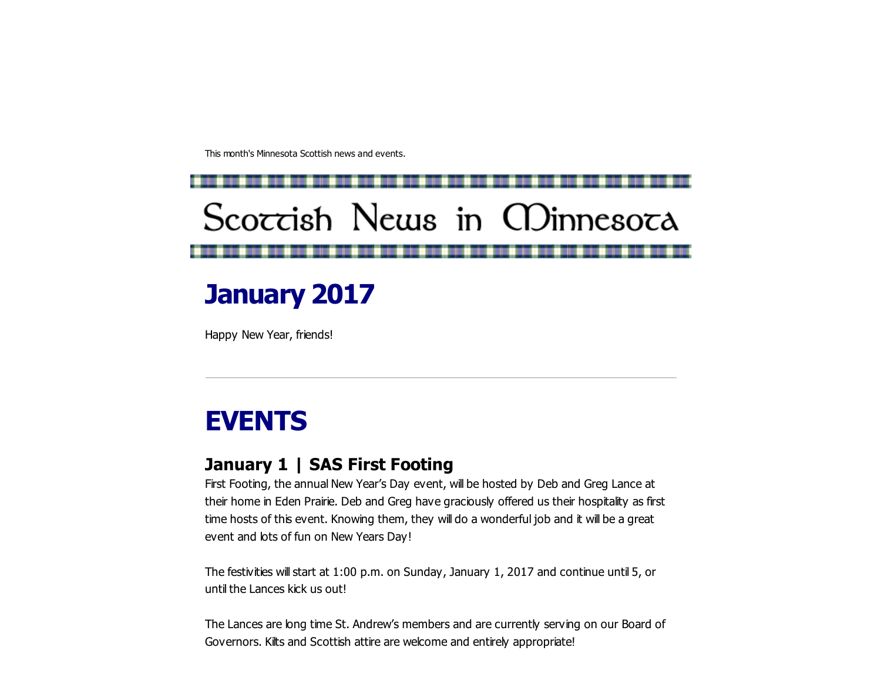This month's Minnesota Scottish news and events.

# Scoccish News in CDinnesoca

# January 2017

Happy New Year, friends!

## EVENTS

### January 1 | SAS First Footing

First Footing, the annual New Year's Day event, will be hosted by Deb and Greg Lance at their home in Eden Prairie. Deb and Greg have graciously offered us their hospitality as first time hosts of this event. Knowing them, they will do a wonderful job and it will be a great event and lots of fun on New Years Day!

The festivities will start at 1:00 p.m. on Sunday, January 1, 2017 and continue until 5, or until the Lances kick us out!

The Lances are long time St. Andrew's members and are currently serving on our Board of Governors. Kilts and Scottish attire are welcome and entirely appropriate!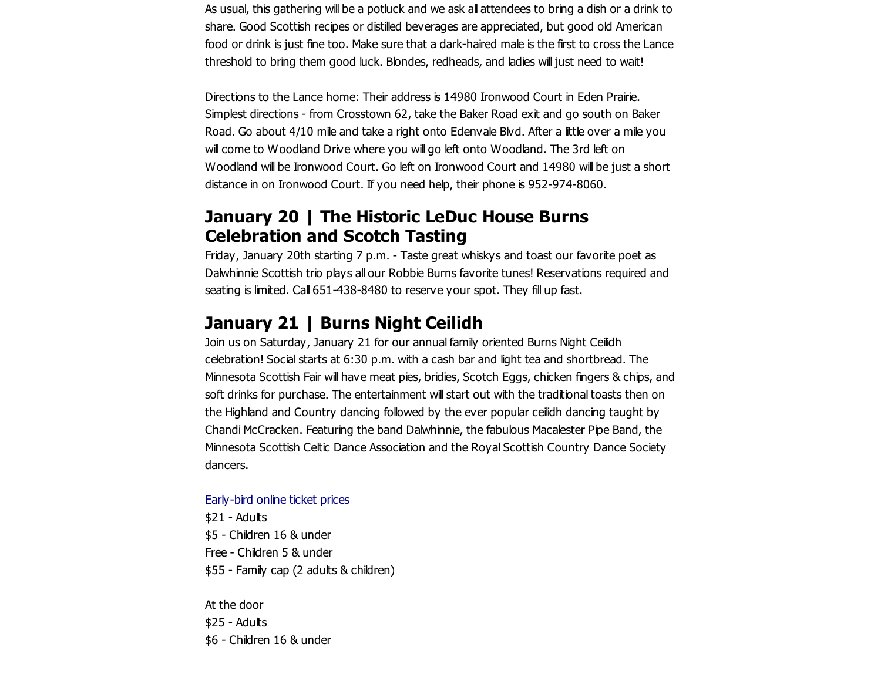As usual, this gathering will be a potluck and we ask all attendees to bring a dish or a drink to share. Good Scottish recipes or distilled beverages are appreciated, but good old American food or drink is just fine too. Make sure that a dark-haired male is the first to cross the Lance threshold to bring them good luck. Blondes, redheads, and ladies will just need to wait!

Directions to the Lance home: Their address is 14980 Ironwood Court in Eden Prairie. Simplest directions - from Crosstown 62, take the Baker Road exit and go south on Baker Road. Go about 4/10 mile and take a right onto Edenvale Blvd. After a little over a mile you will come to Woodland Drive where you will go left onto Woodland. The 3rd left on Woodland will be Ironwood Court. Go left on Ironwood Court and 14980 will be just a short distance in on Ironwood Court. If you need help, their phone is 952-974-8060.

#### January 20 | The Historic LeDuc House Burns Celebration and Scotch Tasting

Friday, January 20th starting 7 p.m. - Taste great whiskys and toast our favorite poet as Dalwhinnie Scottish trio plays all our Robbie Burns favorite tunes! Reservations required and seating is limited. Call 651-438-8480 to reserve your spot. They fill up fast.

#### January 21 | Burns Night Ceilidh

Join us on Saturday, January 21 for our annual family oriented Burns Night Ceilidh celebration! Social starts at 6:30 p.m. with a cash bar and light tea and shortbread. The Minnesota Scottish Fair will have meat pies, bridies, Scotch Eggs, chicken fingers & chips, and soft drinks for purchase. The entertainment will start out with the traditional toasts then on the Highland and Country dancing followed by the ever popular ceilidh dancing taught by Chandi McCracken. Featuring the band Dalwhinnie, the fabulous Macalester Pipe Band, the Minnesota Scottish Celtic Dance Association and the Royal Scottish Country Dance Society dancers.

#### Early-bird online ticket prices

 $$21 -$  Adults \$5 Children 16 & under Free Children 5 & under \$55 Family cap (2 adults & children)

At the door  $$25$  - Adults \$6 Children 16 & under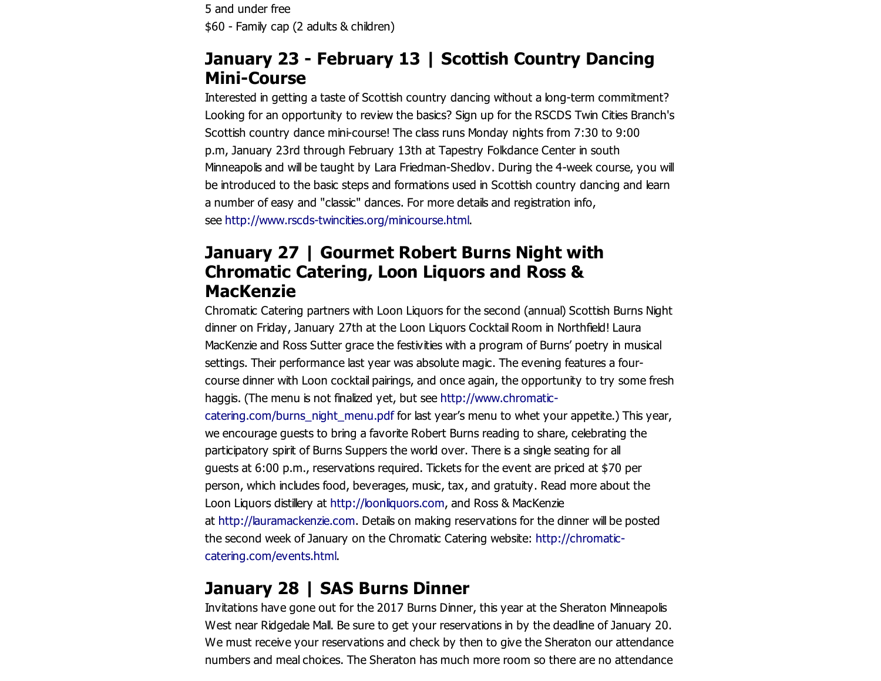5 and under free \$60 Family cap (2 adults & children)

#### January 23 February 13 | Scottish Country Dancing **Mini-Course**

Interested in getting a taste of Scottish country dancing without a long-term commitment? Looking for an opportunity to review the basics? Sign up for the RSCDS Twin Cities Branch's Scottish country dance minicourse! The class runs Monday nights from 7:30 to 9:00 p.m, January 23rd through February 13th at Tapestry Folkdance Center in south Minneapolis and will be taught by Lara Friedman-Shedlov. During the 4-week course, you will be introduced to the basic steps and formations used in Scottish country dancing and learn a number of easy and "classic" dances. For more details and registration info, see http://www.rscds-twincities.org/minicourse.html.

#### January 27 | Gourmet Robert Burns Night with Chromatic Catering, Loon Liquors and Ross & MacKenzie

Chromatic Catering partners with Loon Liquors for the second (annual) Scottish Burns Night dinner on Friday, January 27th at the Loon Liquors Cocktail Room in Northfield! Laura MacKenzie and Ross Sutter grace the festivities with a program of Burns' poetry in musical settings. Their performance last year was absolute magic. The evening features a fourcourse dinner with Loon cocktail pairings, and once again, the opportunity to try some fresh haggis. (The menu is not finalized yet, but see http://www.chromatic[catering.com/burns\\_night\\_menu.pdf](http://scottishamericancentermn.us10.list-manage.com/track/click?u=2fe4099001736ac4b948473e4&id=ecfea9f50d&e=6b0ba04b53) for last year's menu to whet your appetite.) This year, we encourage guests to bring a favorite Robert Burns reading to share, celebrating the participatory spirit of Burns Suppers the world over. There is a single seating for all guests at 6:00 p.m., reservations required. Tickets for the event are priced at \$70 per person, which includes food, beverages, music, tax, and gratuity. Read more about the Loon Liquors distillery at [http://loonliquors.com,](http://scottishamericancentermn.us10.list-manage.com/track/click?u=2fe4099001736ac4b948473e4&id=52c1f4eac1&e=6b0ba04b53) and Ross & MacKenzie at [http://lauramackenzie.com.](http://scottishamericancentermn.us10.list-manage.com/track/click?u=2fe4099001736ac4b948473e4&id=8811604816&e=6b0ba04b53) Details on making reservations for the dinner will be posted the second week of January on the Chromatic Catering website: http://chromatic[catering.com/events.html.](http://scottishamericancentermn.us10.list-manage2.com/track/click?u=2fe4099001736ac4b948473e4&id=536fd5cbd6&e=6b0ba04b53)

#### January 28 | SAS Burns Dinner

Invitations have gone out for the 2017 Burns Dinner, this year at the Sheraton Minneapolis West near Ridgedale Mall. Be sure to get your reservations in by the deadline of January 20. We must receive your reservations and check by then to give the Sheraton our attendance numbers and meal choices. The Sheraton has much more room so there are no attendance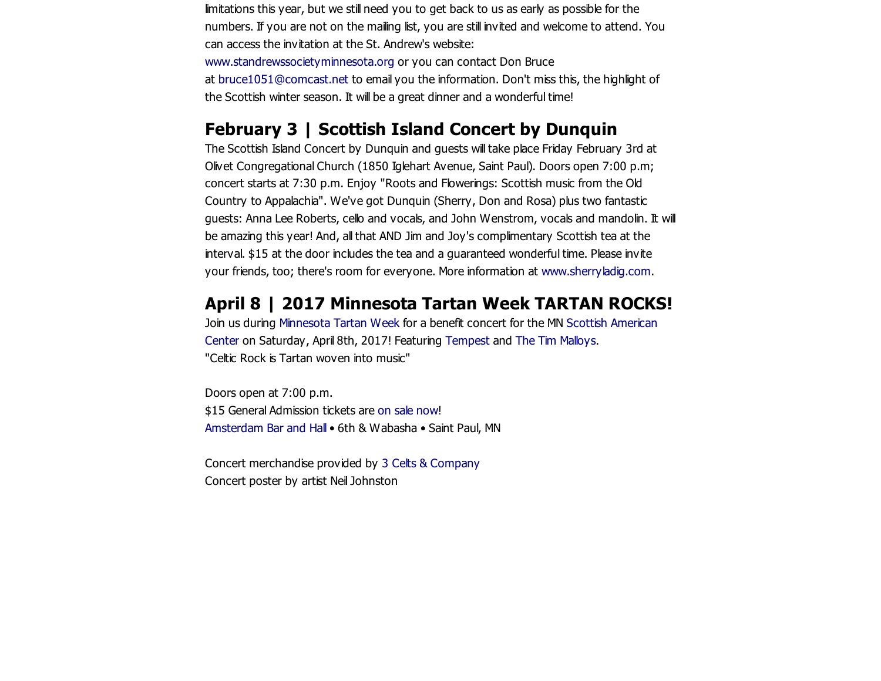limitations this year, but we still need you to get back to us as early as possible for the numbers. If you are not on the mailing list, you are still invited and welcome to attend. You can access the invitation at the St. Andrew's website: [www.standrewssocietyminnesota.org](http://scottishamericancentermn.us10.list-manage.com/track/click?u=2fe4099001736ac4b948473e4&id=134360d776&e=6b0ba04b53) or you can contact Don Bruce at [bruce1051@comcast.net](mailto:bruce1051@comcast.net?subject=SAS%20Burns%20Night) to email you the information. Don't miss this, the highlight of the Scottish winter season. It will be a great dinner and a wonderful time!

#### February 3 | Scottish Island Concert by Dunquin

The Scottish Island Concert by Dunquin and guests will take place Friday February 3rd at Olivet Congregational Church (1850 Iglehart Avenue, Saint Paul). Doors open 7:00 p.m; concert starts at 7:30 p.m. Enjoy "Roots and Flowerings: Scottish music from the Old Country to Appalachia". We've got Dunquin (Sherry, Don and Rosa) plus two fantastic guests: Anna Lee Roberts, cello and vocals, and John Wenstrom, vocals and mandolin. It will be amazing this year! And, all that AND Jim and Joy's complimentary Scottish tea at the interval. \$15 at the door includes the tea and a guaranteed wonderful time. Please invite your friends, too; there's room for everyone. More information at [www.sherryladig.com.](http://scottishamericancentermn.us10.list-manage.com/track/click?u=2fe4099001736ac4b948473e4&id=8eb822355b&e=6b0ba04b53)

#### April 8 | 2017 Minnesota Tartan Week TARTAN ROCKS!

Join us during [Minnesota](https://www.facebook.com/Minnesota.Tartan.Week/) Tartan Week for a benefit concert for the MN Scottish American Center on Saturday, April 8th, 2017! Featuring [Tempest](http://www.tempestmusic.com/) and The Tim [Malloys.](http://www.timmalloys.com/) "Celtic Rock is Tartan woven into music"

Doors open at 7:00 p.m. \$15 General Admission tickets are on sale [now!](https://goo.gl/Ov9cgw) [Amsterdam](https://www.facebook.com/Amsterdambarandhall/) Bar and Hall • 6th & Wabasha • Saint Paul, MN

Concert merchandise provided by 3 Celts & [Company](http://music.3celts.com/tartan-rocks/) Concert poster by artist Neil Johnston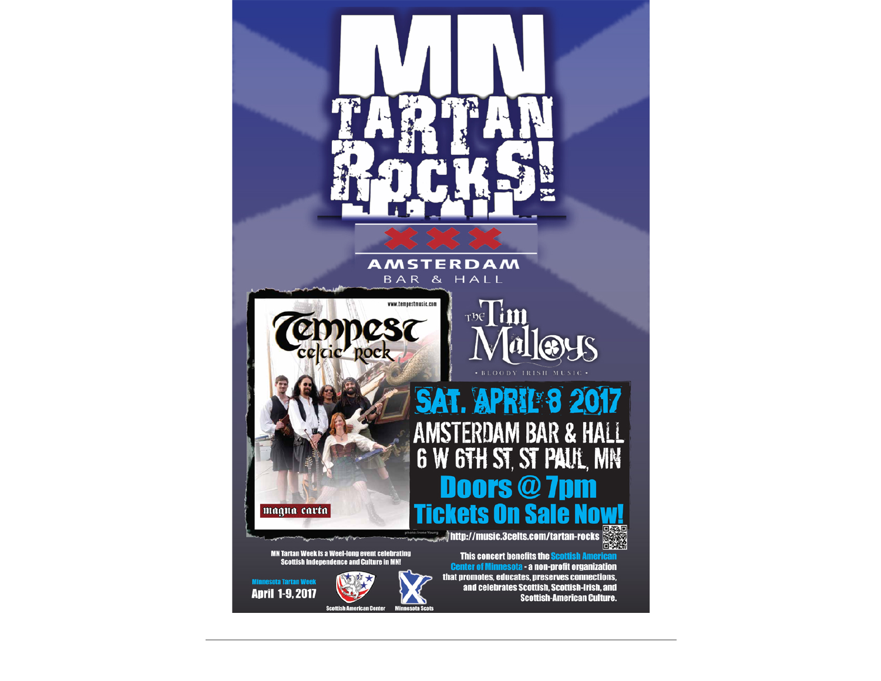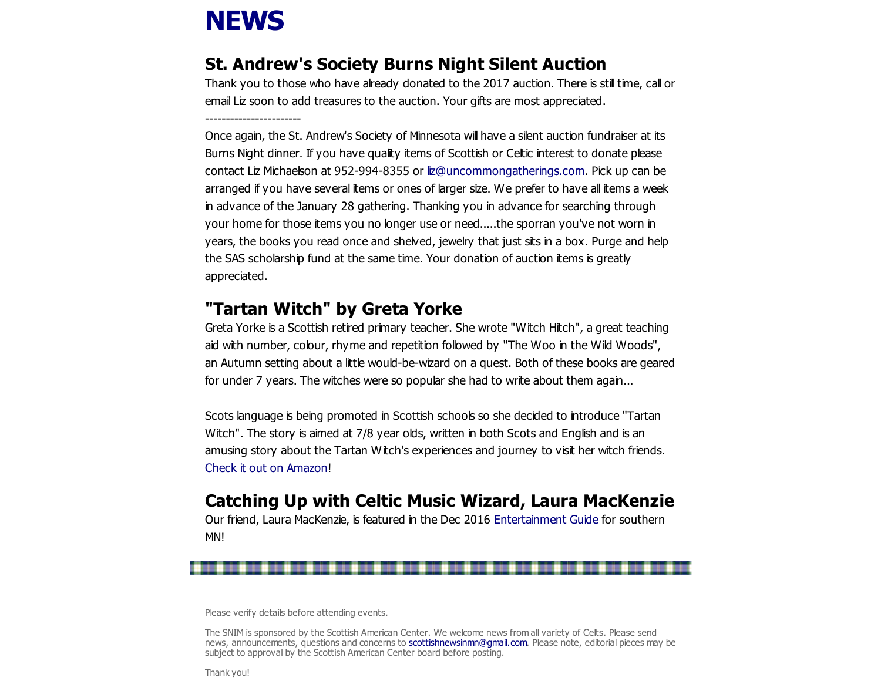## **NEWS**

----------------------

## St. Andrew's Society Burns Night Silent Auction

Thank you to those who have already donated to the 2017 auction. There is still time, call or email Liz soon to add treasures to the auction. Your gifts are most appreciated.

Once again, the St. Andrew's Society of Minnesota will have a silent auction fundraiser at its Burns Night dinner. If you have quality items of Scottish or Celtic interest to donate please contact Liz Michaelson at 9529948355 or [liz@uncommongatherings.com.](mailto:liz@uncommongatherings.com) Pick up can be arranged if you have several items or ones of larger size. We prefer to have all items a week in advance of the January 28 gathering. Thanking you in advance for searching through your home for those items you no longer use or need.....the sporran you've not worn in years, the books you read once and shelved, jewelry that just sits in a box. Purge and help the SAS scholarship fund at the same time. Your donation of auction items is greatly appreciated.

#### "Tartan Witch" by Greta Yorke

Greta Yorke is a Scottish retired primary teacher. She wrote "Witch Hitch", a great teaching aid with number, colour, rhyme and repetition followed by "The Woo in the Wild Woods", an Autumn setting about a little would-be-wizard on a quest. Both of these books are geared for under 7 years. The witches were so popular she had to write about them again...

Scots language is being promoted in Scottish schools so she decided to introduce "Tartan Witch". The story is aimed at 7/8 year olds, written in both Scots and English and is an amusing story about the Tartan Witch's experiences and journey to visit her witch friends. Check it out on [Amazon!](http://scottishamericancentermn.us10.list-manage.com/track/click?u=2fe4099001736ac4b948473e4&id=71a2e14e02&e=6b0ba04b53)

### Catching Up with Celtic Music Wizard, Laura MacKenzie

Our friend, Laura MacKenzie, is featured in the Dec 2016 [Entertainment](http://scottishamericancentermn.us10.list-manage.com/track/click?u=2fe4099001736ac4b948473e4&id=874901fa86&e=6b0ba04b53) Guide for southern MN!

Please verify details before attending events.

The SNIM is sponsored by the Scottish American Center. We welcome news from all variety of Celts. Please send news, announcements, questions and concerns to [scottishnewsinmn@gmail.com.](mailto:scottishnewsinmn@gmail.com) Please note, editorial pieces may be subject to approval by the Scottish American Center board before posting.

Thank you!